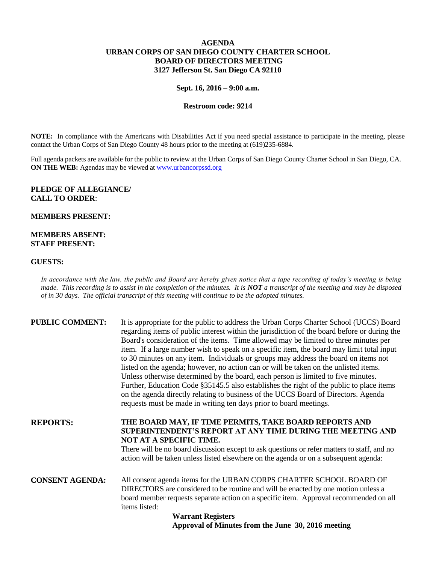# **AGENDA URBAN CORPS OF SAN DIEGO COUNTY CHARTER SCHOOL BOARD OF DIRECTORS MEETING 3127 Jefferson St. San Diego CA 92110**

#### **Sept. 16, 2016 – 9:00 a.m.**

## **Restroom code: 9214**

**NOTE:** In compliance with the Americans with Disabilities Act if you need special assistance to participate in the meeting, please contact the Urban Corps of San Diego County 48 hours prior to the meeting at (619)235-6884.

Full agenda packets are available for the public to review at the Urban Corps of San Diego County Charter School in San Diego, CA. **ON THE WEB:** Agendas may be viewed at **www.urbancorpssd.org** 

## **PLEDGE OF ALLEGIANCE/ CALL TO ORDER**:

### **MEMBERS PRESENT:**

## **MEMBERS ABSENT: STAFF PRESENT:**

#### **GUESTS:**

*In accordance with the law, the public and Board are hereby given notice that a tape recording of today's meeting is being made. This recording is to assist in the completion of the minutes. It is NOT a transcript of the meeting and may be disposed of in 30 days. The official transcript of this meeting will continue to be the adopted minutes.*

| <b>PUBLIC COMMENT:</b> | It is appropriate for the public to address the Urban Corps Charter School (UCCS) Board<br>regarding items of public interest within the jurisdiction of the board before or during the |  |
|------------------------|-----------------------------------------------------------------------------------------------------------------------------------------------------------------------------------------|--|
|                        | Board's consideration of the items. Time allowed may be limited to three minutes per                                                                                                    |  |
|                        | item. If a large number wish to speak on a specific item, the board may limit total input                                                                                               |  |
|                        | to 30 minutes on any item. Individuals or groups may address the board on items not                                                                                                     |  |
|                        | listed on the agenda; however, no action can or will be taken on the unlisted items.                                                                                                    |  |
|                        | Unless otherwise determined by the board, each person is limited to five minutes.                                                                                                       |  |
|                        |                                                                                                                                                                                         |  |
|                        | Further, Education Code §35145.5 also establishes the right of the public to place items                                                                                                |  |
|                        | on the agenda directly relating to business of the UCCS Board of Directors. Agenda<br>requests must be made in writing ten days prior to board meetings.                                |  |
|                        |                                                                                                                                                                                         |  |
| <b>REPORTS:</b>        | THE BOARD MAY, IF TIME PERMITS, TAKE BOARD REPORTS AND                                                                                                                                  |  |
|                        | SUPERINTENDENT'S REPORT AT ANY TIME DURING THE MEETING AND                                                                                                                              |  |
|                        | NOT AT A SPECIFIC TIME.                                                                                                                                                                 |  |
|                        | There will be no board discussion except to ask questions or refer matters to staff, and no                                                                                             |  |
|                        | action will be taken unless listed elsewhere on the agenda or on a subsequent agenda:                                                                                                   |  |
|                        |                                                                                                                                                                                         |  |
| <b>CONSENT AGENDA:</b> | All consent agenda items for the URBAN CORPS CHARTER SCHOOL BOARD OF                                                                                                                    |  |
|                        | DIRECTORS are considered to be routine and will be enacted by one motion unless a                                                                                                       |  |
|                        | board member requests separate action on a specific item. Approval recommended on all                                                                                                   |  |
|                        | items listed:                                                                                                                                                                           |  |
|                        | <b>Warrant Registers</b>                                                                                                                                                                |  |
|                        |                                                                                                                                                                                         |  |

**Approval of Minutes from the June 30, 2016 meeting**